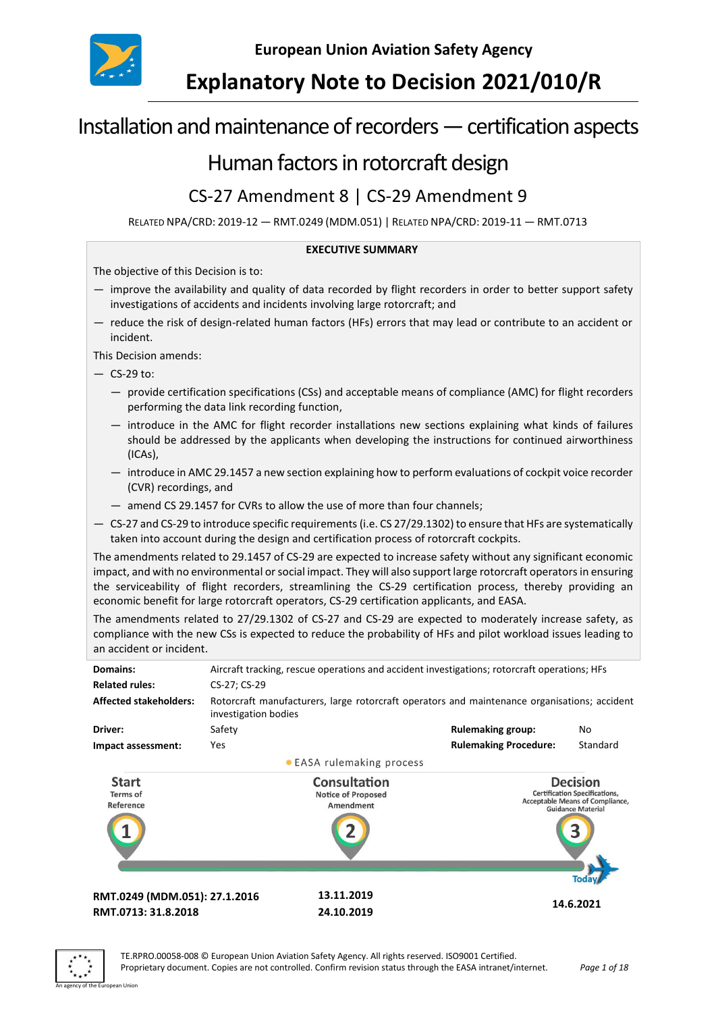

**European Union Aviation Safety Agency**

# **Explanatory Note to Decision 2021/010/R**

# Installation and maintenance of recorders —certification aspects

# Human factors in rotorcraft design

# CS-27 Amendment 8 | CS-29 Amendment 9

RELATED NPA/CRD: 2019-12 — RMT.0249 (MDM.051) | RELATED NPA/CRD: 2019-11 — RMT.0713

#### **EXECUTIVE SUMMARY**

The objective of this Decision is to:

- improve the availability and quality of data recorded by flight recorders in order to better support safety investigations of accidents and incidents involving large rotorcraft; and
- reduce the risk of design-related human factors (HFs) errors that may lead or contribute to an accident or incident.

This Decision amends:

- $-$  CS-29 to:
	- provide certification specifications (CSs) and acceptable means of compliance (AMC) for flight recorders performing the data link recording function,
	- introduce in the AMC for flight recorder installations new sections explaining what kinds of failures should be addressed by the applicants when developing the instructions for continued airworthiness (ICAs),
	- introduce in AMC 29.1457 a new section explaining how to perform evaluations of cockpit voice recorder (CVR) recordings, and
	- amend CS 29.1457 for CVRs to allow the use of more than four channels;
- CS-27 and CS-29 to introduce specific requirements (i.e. CS 27/29.1302) to ensure that HFs are systematically taken into account during the design and certification process of rotorcraft cockpits.

The amendments related to 29.1457 of CS-29 are expected to increase safety without any significant economic impact, and with no environmental or social impact. They will also support large rotorcraft operators in ensuring the serviceability of flight recorders, streamlining the CS-29 certification process, thereby providing an economic benefit for large rotorcraft operators, CS-29 certification applicants, and EASA.

The amendments related to 27/29.1302 of CS-27 and CS-29 are expected to moderately increase safety, as compliance with the new CSs is expected to reduce the probability of HFs and pilot workload issues leading to an accident or incident.

| Domains:                              | Aircraft tracking, rescue operations and accident investigations; rotorcraft operations; HFs                         |                                                        |                                                                                                                        |           |  |  |
|---------------------------------------|----------------------------------------------------------------------------------------------------------------------|--------------------------------------------------------|------------------------------------------------------------------------------------------------------------------------|-----------|--|--|
| <b>Related rules:</b>                 | CS-27; CS-29                                                                                                         |                                                        |                                                                                                                        |           |  |  |
| <b>Affected stakeholders:</b>         | Rotorcraft manufacturers, large rotorcraft operators and maintenance organisations; accident<br>investigation bodies |                                                        |                                                                                                                        |           |  |  |
| Driver:                               | Safety                                                                                                               |                                                        | <b>Rulemaking group:</b>                                                                                               | No        |  |  |
| Impact assessment:                    | <b>Yes</b>                                                                                                           |                                                        | <b>Rulemaking Procedure:</b>                                                                                           | Standard  |  |  |
|                                       |                                                                                                                      | • EASA rulemaking process                              |                                                                                                                        |           |  |  |
| <b>Start</b><br>Terms of<br>Reference |                                                                                                                      | Consultation<br><b>Notice of Proposed</b><br>Amendment | <b>Decision</b><br><b>Certification Specifications,</b><br>Acceptable Means of Compliance,<br><b>Guidance Material</b> |           |  |  |
|                                       |                                                                                                                      |                                                        |                                                                                                                        |           |  |  |
| RMT.0249 (MDM.051): 27.1.2016         |                                                                                                                      | 13.11.2019                                             |                                                                                                                        |           |  |  |
| RMT.0713: 31.8.2018                   |                                                                                                                      | 24.10.2019                                             |                                                                                                                        | 14.6.2021 |  |  |
|                                       |                                                                                                                      |                                                        |                                                                                                                        |           |  |  |

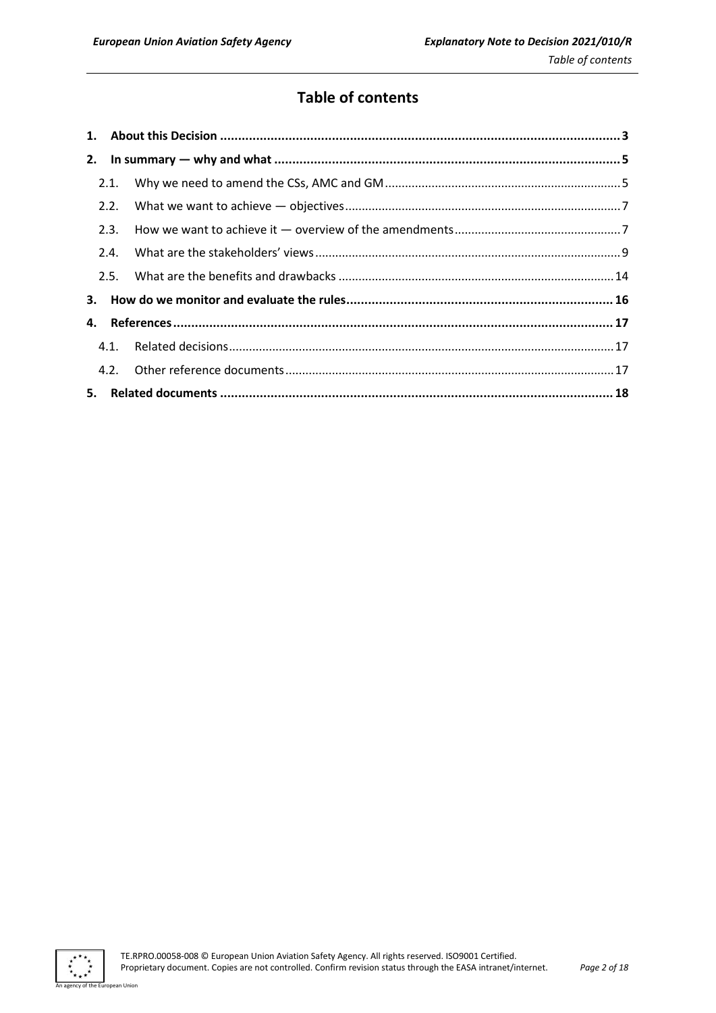# **Table of contents**

| 2.1. |  |
|------|--|
| 2.2. |  |
| 2.3. |  |
| 2.4. |  |
|      |  |
|      |  |
|      |  |
|      |  |
|      |  |
|      |  |

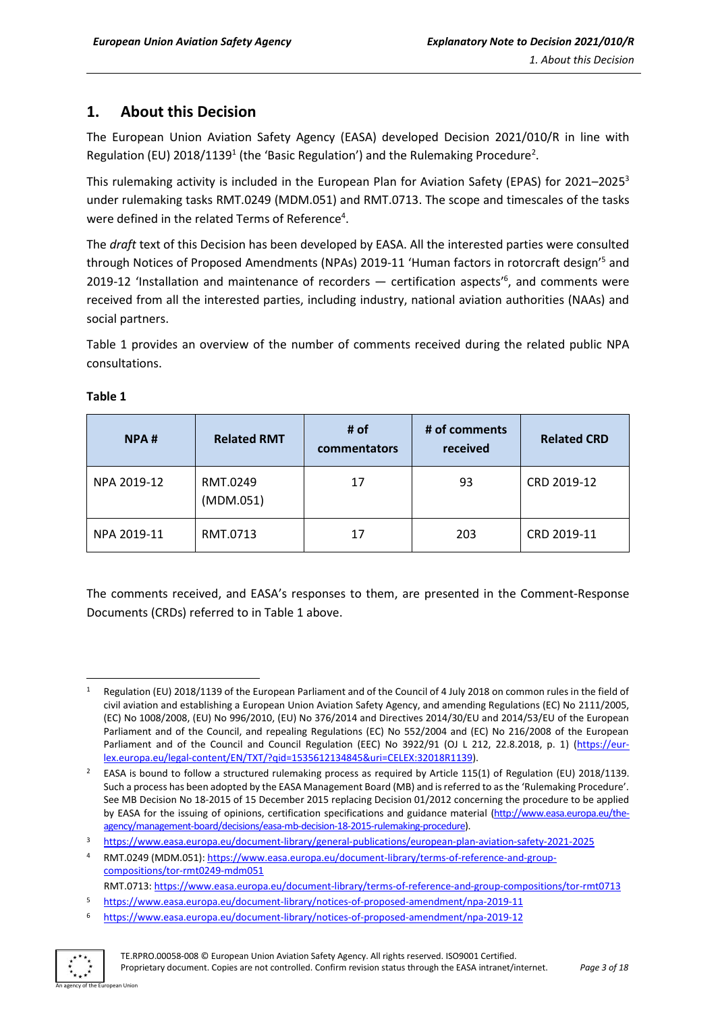# <span id="page-2-0"></span>**1. About this Decision**

The European Union Aviation Safety Agency (EASA) developed Decision 2021/010/R in line with Regulation (EU) 2018/1139<sup>1</sup> (the 'Basic Regulation') and the Rulemaking Procedure<sup>2</sup>.

This rulemaking activity is included in the European Plan for Aviation Safety (EPAS) for [2021](https://www.easa.europa.eu/sites/default/files/dfu/EPAS_2020-2024.pdf)–2025<sup>3</sup> under rulemaking tasks RMT.0249 (MDM.051) and RMT.0713. The scope and timescales of the tasks were defined in the related Terms of Reference<sup>4</sup>.

The *draft* text of this Decision has been developed by EASA. All the interested parties were consulted through Notices of Proposed Amendments (NPAs) 2019-11 'Human factors in rotorcraft design'<sup>5</sup> and 2019-12 'Installation and maintenance of recorders  $-$  certification aspects<sup>16</sup>, and comments were received from all the interested parties, including industry, national aviation authorities (NAAs) and social partners.

Table 1 provides an overview of the number of comments received during the related public NPA consultations.

| NPA#        | <b>Related RMT</b>    | # of<br>commentators | # of comments<br>received | <b>Related CRD</b> |  |
|-------------|-----------------------|----------------------|---------------------------|--------------------|--|
| NPA 2019-12 | RMT.0249<br>(MDM.051) | 17                   | 93                        | CRD 2019-12        |  |
| NPA 2019-11 | RMT.0713              | 17                   | 203                       | CRD 2019-11        |  |

# **Table 1**

The comments received, and EASA's responses to them, are presented in the Comment-Response Documents (CRDs) referred to in Table 1 above.

<sup>6</sup> <https://www.easa.europa.eu/document-library/notices-of-proposed-amendment/npa-2019-12>



<sup>1</sup> Regulation (EU) 2018/1139 of the European Parliament and of the Council of 4 July 2018 on common rules in the field of civil aviation and establishing a European Union Aviation Safety Agency, and amending Regulations (EC) No 2111/2005, (EC) No 1008/2008, (EU) No 996/2010, (EU) No 376/2014 and Directives 2014/30/EU and 2014/53/EU of the European Parliament and of the Council, and repealing Regulations (EC) No 552/2004 and (EC) No 216/2008 of the European Parliament and of the Council and Council Regulation (EEC) No 3922/91 (OJ L 212, 22.8.2018, p. 1) [\(https://eur](https://eur-lex.europa.eu/legal-content/EN/TXT/?qid=1535612134845&uri=CELEX:32018R1139)[lex.europa.eu/legal-content/EN/TXT/?qid=1535612134845&uri=CELEX:32018R1139\)](https://eur-lex.europa.eu/legal-content/EN/TXT/?qid=1535612134845&uri=CELEX:32018R1139).

<sup>&</sup>lt;sup>2</sup> EASA is bound to follow a structured rulemaking process as required by Article 115(1) of Regulation (EU) 2018/1139. Such a process has been adopted by the EASA Management Board (MB) and is referred to as the 'Rulemaking Procedure'. See MB Decision No 18-2015 of 15 December 2015 replacing Decision 01/2012 concerning the procedure to be applied by EASA for the issuing of opinions, certification specifications and guidance material [\(http://www.easa.europa.eu/the](http://www.easa.europa.eu/the-agency/management-board/decisions/easa-mb-decision-18-2015-rulemaking-procedure)[agency/management-board/decisions/easa-mb-decision-18-2015-rulemaking-procedure\)](http://www.easa.europa.eu/the-agency/management-board/decisions/easa-mb-decision-18-2015-rulemaking-procedure).

<sup>3</sup> <https://www.easa.europa.eu/document-library/general-publications/european-plan-aviation-safety-2021-2025>

RMT.0249 (MDM.051): [https://www.easa.europa.eu/document-library/terms-of-reference-and-group](https://www.easa.europa.eu/document-library/terms-of-reference-and-group-compositions/tor-rmt0249-mdm051)[compositions/tor-rmt0249-mdm051](https://www.easa.europa.eu/document-library/terms-of-reference-and-group-compositions/tor-rmt0249-mdm051)

RMT.0713: https://www.easa.europa.eu/document-library/terms-of-reference-and-group-compositions/tor-rmt0713

<sup>5</sup> <https://www.easa.europa.eu/document-library/notices-of-proposed-amendment/npa-2019-11>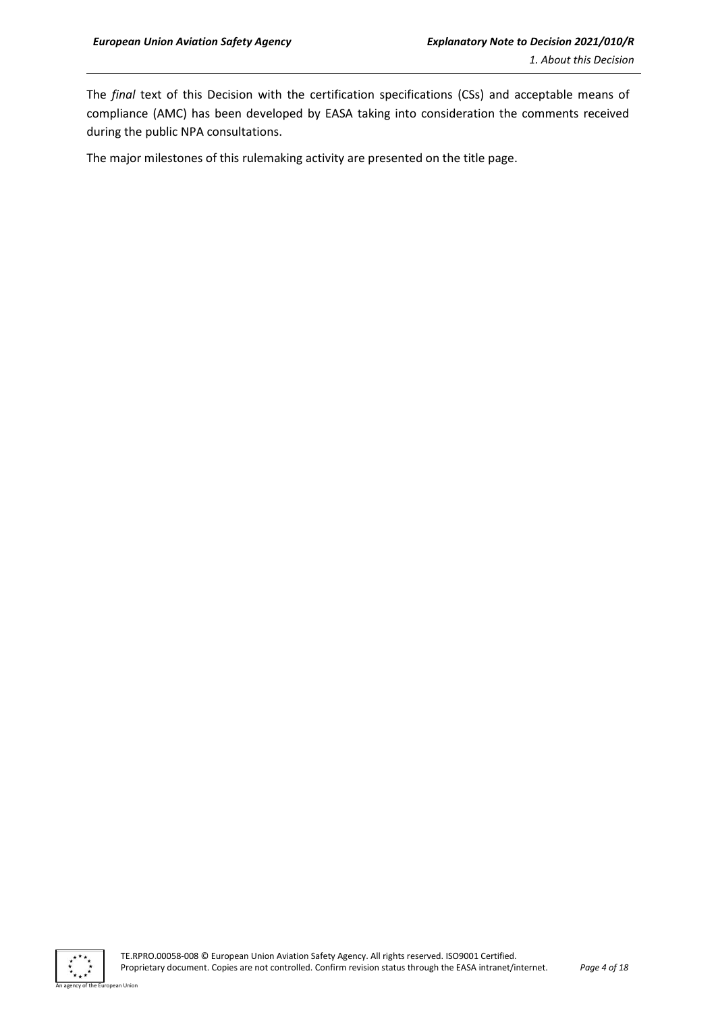The *final* text of this Decision with the certification specifications (CSs) and acceptable means of compliance (AMC) has been developed by EASA taking into consideration the comments received during the public NPA consultations.

The major milestones of this rulemaking activity are presented on the title page.



n Hoio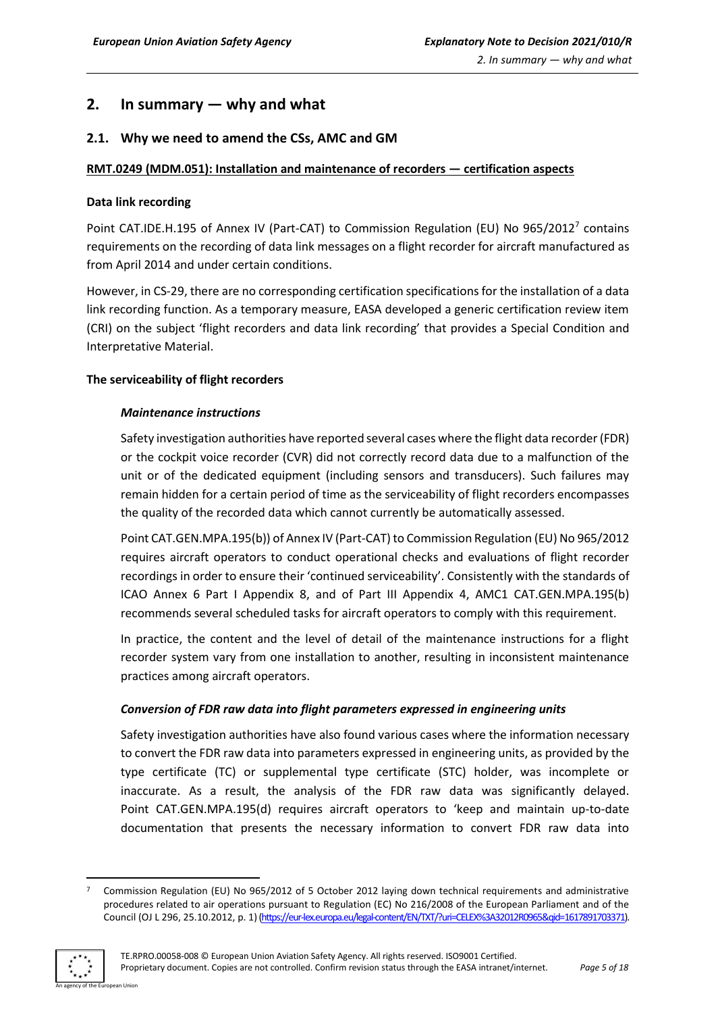# <span id="page-4-0"></span>**2. In summary — why and what**

# <span id="page-4-1"></span>**2.1. Why we need to amend the CSs, AMC and GM**

# **RMT.0249 (MDM.051): Installation and maintenance of recorders — certification aspects**

#### **Data link recording**

Point CAT.IDE.H.195 of Annex IV (Part-CAT) to Commission Regulation (EU) No 965/2012<sup>7</sup> contains requirements on the recording of data link messages on a flight recorder for aircraft manufactured as from April 2014 and under certain conditions.

However, in CS-29, there are no corresponding certification specifications for the installation of a data link recording function. As a temporary measure, EASA developed a generic certification review item (CRI) on the subject 'flight recorders and data link recording' that provides a Special Condition and Interpretative Material.

# **The serviceability of flight recorders**

# *Maintenance instructions*

Safety investigation authorities have reported several cases where the flight data recorder (FDR) or the cockpit voice recorder (CVR) did not correctly record data due to a malfunction of the unit or of the dedicated equipment (including sensors and transducers). Such failures may remain hidden for a certain period of time as the serviceability of flight recorders encompasses the quality of the recorded data which cannot currently be automatically assessed.

Point CAT.GEN.MPA.195(b)) of Annex IV (Part-CAT) to Commission Regulation (EU) No 965/2012 requires aircraft operators to conduct operational checks and evaluations of flight recorder recordings in order to ensure their 'continued serviceability'. Consistently with the standards of ICAO Annex 6 Part I Appendix 8, and of Part III Appendix 4, AMC1 CAT.GEN.MPA.195(b) recommends several scheduled tasks for aircraft operators to comply with this requirement.

In practice, the content and the level of detail of the maintenance instructions for a flight recorder system vary from one installation to another, resulting in inconsistent maintenance practices among aircraft operators.

#### *Conversion of FDR raw data into flight parameters expressed in engineering units*

Safety investigation authorities have also found various cases where the information necessary to convert the FDR raw data into parameters expressed in engineering units, as provided by the type certificate (TC) or supplemental type certificate (STC) holder, was incomplete or inaccurate. As a result, the analysis of the FDR raw data was significantly delayed. Point CAT.GEN.MPA.195(d) requires aircraft operators to 'keep and maintain up-to-date documentation that presents the necessary information to convert FDR raw data into

<sup>7</sup> Commission Regulation (EU) No 965/2012 of 5 October 2012 laying down technical requirements and administrative procedures related to air operations pursuant to Regulation (EC) No 216/2008 of the European Parliament and of the Council (OJ L 296, 25.10.2012, p. 1)[\(https://eur-lex.europa.eu/legal-content/EN/TXT/?uri=CELEX%3A32012R0965&qid=1617891703371\).](https://eur-lex.europa.eu/legal-content/EN/TXT/?uri=CELEX%3A32012R0965&qid=1617891703371)

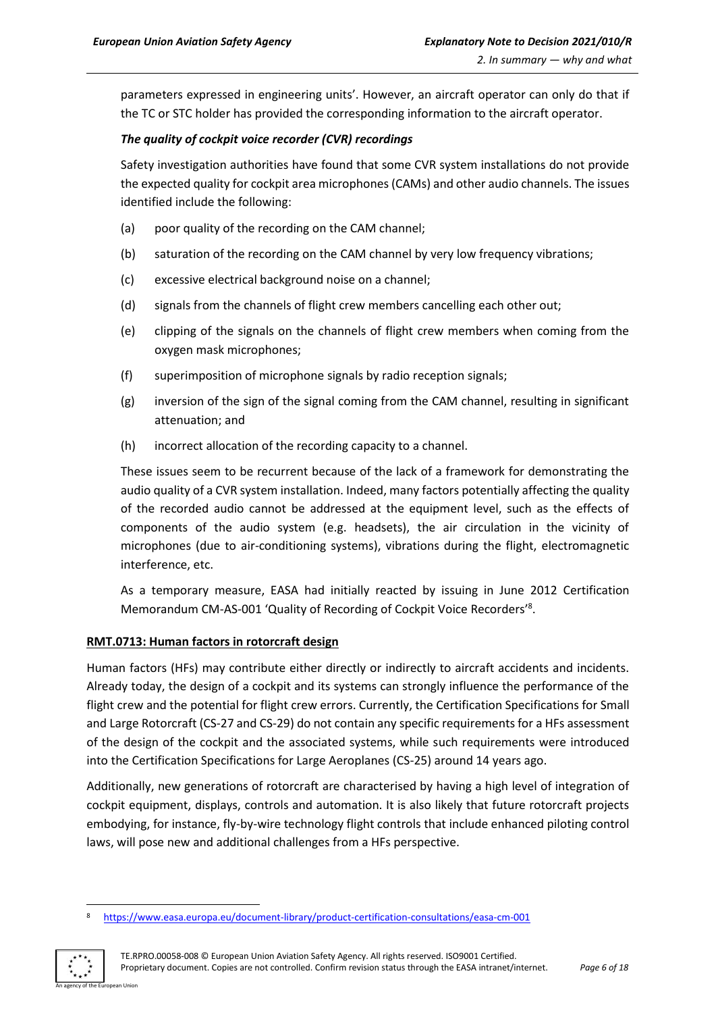parameters expressed in engineering units'. However, an aircraft operator can only do that if the TC or STC holder has provided the corresponding information to the aircraft operator.

# *The quality of cockpit voice recorder (CVR) recordings*

Safety investigation authorities have found that some CVR system installations do not provide the expected quality for cockpit area microphones (CAMs) and other audio channels. The issues identified include the following:

- (a) poor quality of the recording on the CAM channel;
- (b) saturation of the recording on the CAM channel by very low frequency vibrations;
- (c) excessive electrical background noise on a channel;
- (d) signals from the channels of flight crew members cancelling each other out;
- (e) clipping of the signals on the channels of flight crew members when coming from the oxygen mask microphones;
- (f) superimposition of microphone signals by radio reception signals;
- (g) inversion of the sign of the signal coming from the CAM channel, resulting in significant attenuation; and
- (h) incorrect allocation of the recording capacity to a channel.

These issues seem to be recurrent because of the lack of a framework for demonstrating the audio quality of a CVR system installation. Indeed, many factors potentially affecting the quality of the recorded audio cannot be addressed at the equipment level, such as the effects of components of the audio system (e.g. headsets), the air circulation in the vicinity of microphones (due to air-conditioning systems), vibrations during the flight, electromagnetic interference, etc.

As a temporary measure, EASA had initially reacted by issuing in June 2012 Certification Memorandum CM-AS-001 'Quality of Recording of Cockpit Voice Recorders'<sup>8</sup> .

# **RMT.0713: Human factors in rotorcraft design**

Human factors (HFs) may contribute either directly or indirectly to aircraft accidents and incidents. Already today, the design of a cockpit and its systems can strongly influence the performance of the flight crew and the potential for flight crew errors. Currently, the Certification Specifications for Small and Large Rotorcraft (CS-27 and CS-29) do not contain any specific requirements for a HFs assessment of the design of the cockpit and the associated systems, while such requirements were introduced into the Certification Specifications for Large Aeroplanes (CS-25) around 14 years ago.

Additionally, new generations of rotorcraft are characterised by having a high level of integration of cockpit equipment, displays, controls and automation. It is also likely that future rotorcraft projects embodying, for instance, fly-by-wire technology flight controls that include enhanced piloting control laws, will pose new and additional challenges from a HFs perspective.

<https://www.easa.europa.eu/document-library/product-certification-consultations/easa-cm-001>

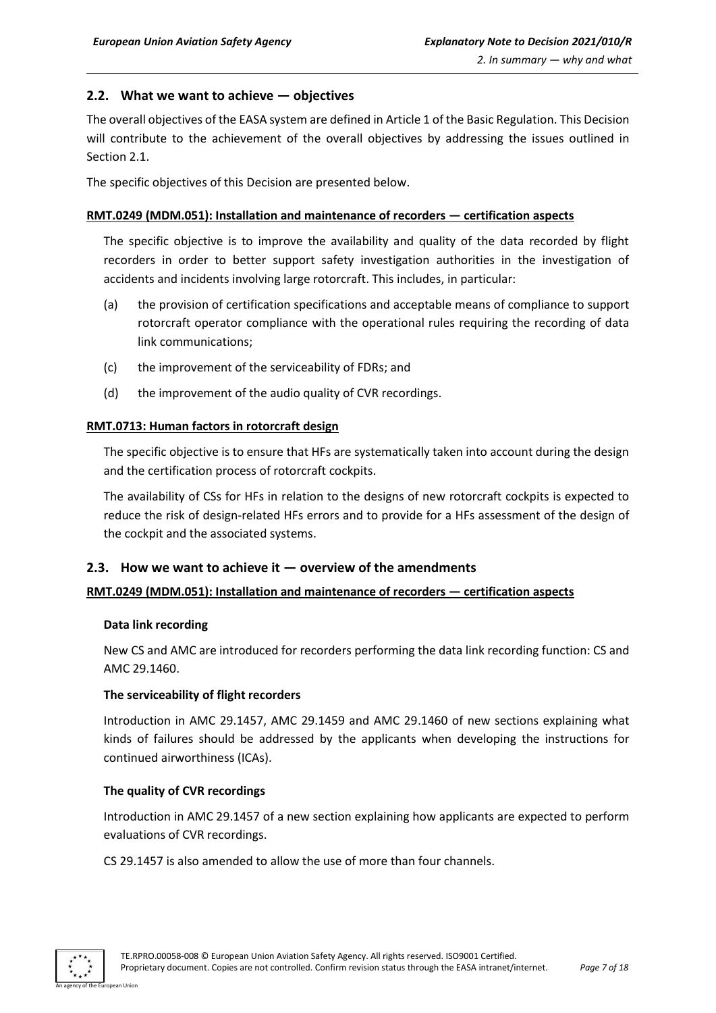# <span id="page-6-0"></span>**2.2. What we want to achieve — objectives**

The overall objectives of the EASA system are defined in Article 1 of the Basic Regulation. This Decision will contribute to the achievement of the overall objectives by addressing the issues outlined in Section 2.1.

The specific objectives of this Decision are presented below.

#### **RMT.0249 (MDM.051): Installation and maintenance of recorders — certification aspects**

The specific objective is to improve the availability and quality of the data recorded by flight recorders in order to better support safety investigation authorities in the investigation of accidents and incidents involving large rotorcraft. This includes, in particular:

- (a) the provision of certification specifications and acceptable means of compliance to support rotorcraft operator compliance with the operational rules requiring the recording of data link communications;
- (c) the improvement of the serviceability of FDRs; and
- (d) the improvement of the audio quality of CVR recordings.

# **RMT.0713: Human factors in rotorcraft design**

The specific objective is to ensure that HFs are systematically taken into account during the design and the certification process of rotorcraft cockpits.

The availability of CSs for HFs in relation to the designs of new rotorcraft cockpits is expected to reduce the risk of design-related HFs errors and to provide for a HFs assessment of the design of the cockpit and the associated systems.

#### <span id="page-6-1"></span>**2.3. How we want to achieve it — overview of the amendments**

#### **RMT.0249 (MDM.051): Installation and maintenance of recorders — certification aspects**

#### **Data link recording**

New CS and AMC are introduced for recorders performing the data link recording function: CS and AMC 29.1460.

#### **The serviceability of flight recorders**

Introduction in AMC 29.1457, AMC 29.1459 and AMC 29.1460 of new sections explaining what kinds of failures should be addressed by the applicants when developing the instructions for continued airworthiness (ICAs).

#### **The quality of CVR recordings**

Introduction in AMC 29.1457 of a new section explaining how applicants are expected to perform evaluations of CVR recordings.

CS 29.1457 is also amended to allow the use of more than four channels.

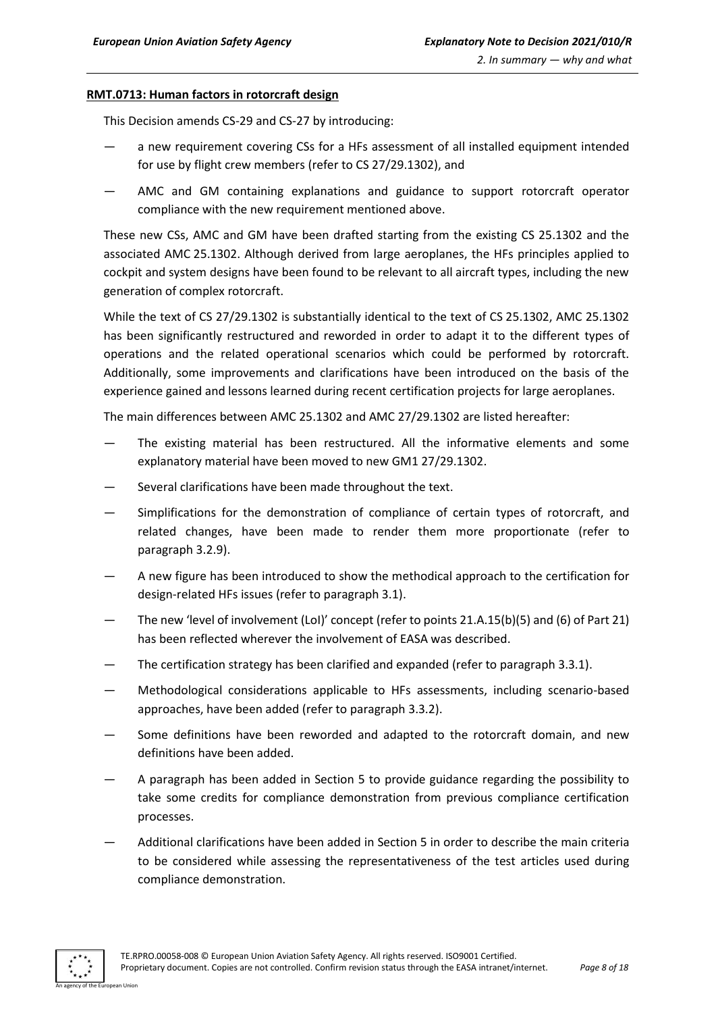#### **RMT.0713: Human factors in rotorcraft design**

This Decision amends CS-29 and CS-27 by introducing:

- a new requirement covering CSs for a HFs assessment of all installed equipment intended for use by flight crew members (refer to CS 27/29.1302), and
- AMC and GM containing explanations and guidance to support rotorcraft operator compliance with the new requirement mentioned above.

These new CSs, AMC and GM have been drafted starting from the existing CS 25.1302 and the associated AMC 25.1302. Although derived from large aeroplanes, the HFs principles applied to cockpit and system designs have been found to be relevant to all aircraft types, including the new generation of complex rotorcraft.

While the text of CS 27/29.1302 is substantially identical to the text of CS 25.1302, AMC 25.1302 has been significantly restructured and reworded in order to adapt it to the different types of operations and the related operational scenarios which could be performed by rotorcraft. Additionally, some improvements and clarifications have been introduced on the basis of the experience gained and lessons learned during recent certification projects for large aeroplanes.

The main differences between AMC 25.1302 and AMC 27/29.1302 are listed hereafter:

- The existing material has been restructured. All the informative elements and some explanatory material have been moved to new GM1 27/29.1302.
- Several clarifications have been made throughout the text.
- Simplifications for the demonstration of compliance of certain types of rotorcraft, and related changes, have been made to render them more proportionate (refer to paragraph 3.2.9).
- A new figure has been introduced to show the methodical approach to the certification for design-related HFs issues (refer to paragraph 3.1).
- The new 'level of involvement (LoI)' concept (refer to points 21.A.15(b)(5) and (6) of Part 21) has been reflected wherever the involvement of EASA was described.
- The certification strategy has been clarified and expanded (refer to paragraph 3.3.1).
- Methodological considerations applicable to HFs assessments, including scenario-based approaches, have been added (refer to paragraph 3.3.2).
- Some definitions have been reworded and adapted to the rotorcraft domain, and new definitions have been added.
- A paragraph has been added in Section 5 to provide guidance regarding the possibility to take some credits for compliance demonstration from previous compliance certification processes.
- Additional clarifications have been added in Section 5 in order to describe the main criteria to be considered while assessing the representativeness of the test articles used during compliance demonstration.

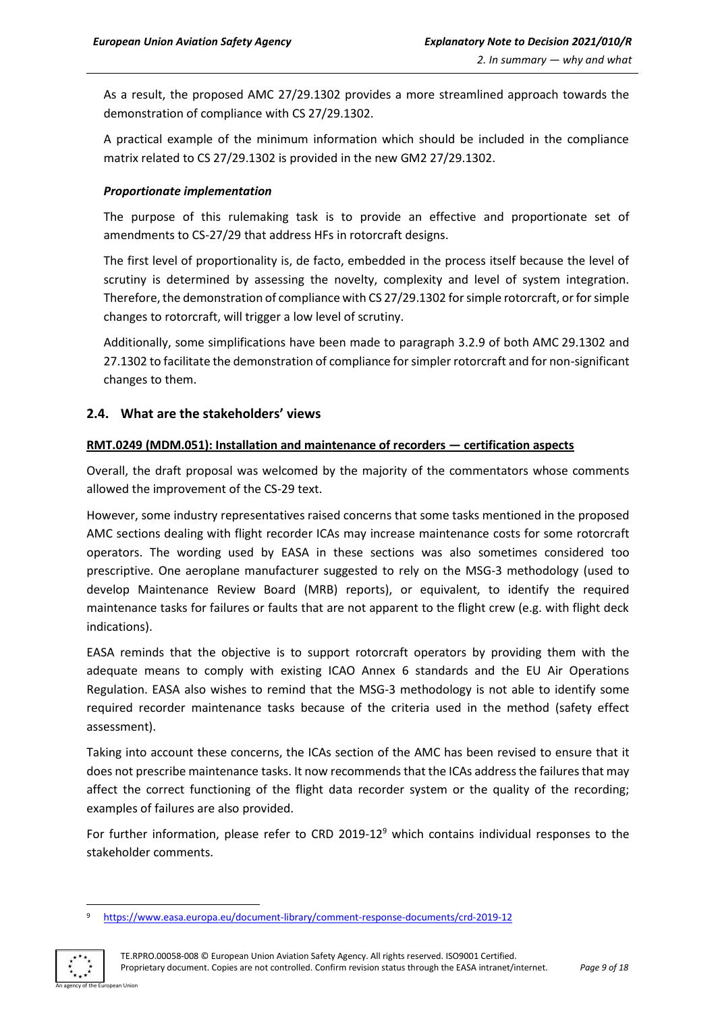As a result, the proposed AMC 27/29.1302 provides a more streamlined approach towards the demonstration of compliance with CS 27/29.1302.

A practical example of the minimum information which should be included in the compliance matrix related to CS 27/29.1302 is provided in the new GM2 27/29.1302.

# *Proportionate implementation*

The purpose of this rulemaking task is to provide an effective and proportionate set of amendments to CS-27/29 that address HFs in rotorcraft designs.

The first level of proportionality is, de facto, embedded in the process itself because the level of scrutiny is determined by assessing the novelty, complexity and level of system integration. Therefore, the demonstration of compliance with CS 27/29.1302 for simple rotorcraft, or for simple changes to rotorcraft, will trigger a low level of scrutiny.

Additionally, some simplifications have been made to paragraph 3.2.9 of both AMC 29.1302 and 27.1302 to facilitate the demonstration of compliance for simpler rotorcraft and for non-significant changes to them.

# <span id="page-8-0"></span>**2.4. What are the stakeholders' views**

# **RMT.0249 (MDM.051): Installation and maintenance of recorders — certification aspects**

Overall, the draft proposal was welcomed by the majority of the commentators whose comments allowed the improvement of the CS-29 text.

However, some industry representatives raised concerns that some tasks mentioned in the proposed AMC sections dealing with flight recorder ICAs may increase maintenance costs for some rotorcraft operators. The wording used by EASA in these sections was also sometimes considered too prescriptive. One aeroplane manufacturer suggested to rely on the MSG-3 methodology (used to develop Maintenance Review Board (MRB) reports), or equivalent, to identify the required maintenance tasks for failures or faults that are not apparent to the flight crew (e.g. with flight deck indications).

EASA reminds that the objective is to support rotorcraft operators by providing them with the adequate means to comply with existing ICAO Annex 6 standards and the EU Air Operations Regulation. EASA also wishes to remind that the MSG-3 methodology is not able to identify some required recorder maintenance tasks because of the criteria used in the method (safety effect assessment).

Taking into account these concerns, the ICAs section of the AMC has been revised to ensure that it does not prescribe maintenance tasks. It now recommends that the ICAs address the failures that may affect the correct functioning of the flight data recorder system or the quality of the recording; examples of failures are also provided.

For further information, please refer to CRD 2019-12<sup>9</sup> which contains individual responses to the stakeholder comments.

<sup>9</sup> <https://www.easa.europa.eu/document-library/comment-response-documents/crd-2019-12>



TE.RPRO.00058-008 © European Union Aviation Safety Agency. All rights reserved. ISO9001 Certified. Proprietary document. Copies are not controlled. Confirm revision status through the EASA intranet/internet. *Page 9 of 18*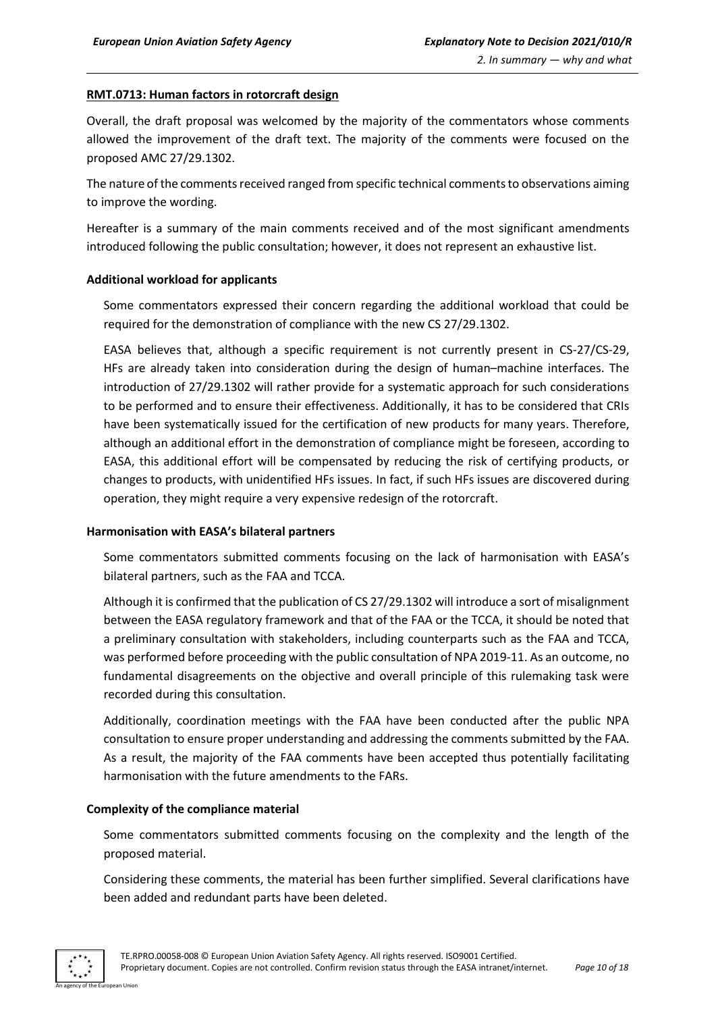#### **RMT.0713: Human factors in rotorcraft design**

Overall, the draft proposal was welcomed by the majority of the commentators whose comments allowed the improvement of the draft text. The majority of the comments were focused on the proposed AMC 27/29.1302.

The nature of the comments received ranged from specific technical comments to observations aiming to improve the wording.

Hereafter is a summary of the main comments received and of the most significant amendments introduced following the public consultation; however, it does not represent an exhaustive list.

# **Additional workload for applicants**

Some commentators expressed their concern regarding the additional workload that could be required for the demonstration of compliance with the new CS 27/29.1302.

EASA believes that, although a specific requirement is not currently present in CS-27/CS-29, HFs are already taken into consideration during the design of human–machine interfaces. The introduction of 27/29.1302 will rather provide for a systematic approach for such considerations to be performed and to ensure their effectiveness. Additionally, it has to be considered that CRIs have been systematically issued for the certification of new products for many years. Therefore, although an additional effort in the demonstration of compliance might be foreseen, according to EASA, this additional effort will be compensated by reducing the risk of certifying products, or changes to products, with unidentified HFs issues. In fact, if such HFs issues are discovered during operation, they might require a very expensive redesign of the rotorcraft.

#### **Harmonisation with EASA's bilateral partners**

Some commentators submitted comments focusing on the lack of harmonisation with EASA's bilateral partners, such as the FAA and TCCA.

Although it is confirmed that the publication of CS 27/29.1302 will introduce a sort of misalignment between the EASA regulatory framework and that of the FAA or the TCCA, it should be noted that a preliminary consultation with stakeholders, including counterparts such as the FAA and TCCA, was performed before proceeding with the public consultation of NPA 2019-11. As an outcome, no fundamental disagreements on the objective and overall principle of this rulemaking task were recorded during this consultation.

Additionally, coordination meetings with the FAA have been conducted after the public NPA consultation to ensure proper understanding and addressing the comments submitted by the FAA. As a result, the majority of the FAA comments have been accepted thus potentially facilitating harmonisation with the future amendments to the FARs.

#### **Complexity of the compliance material**

Some commentators submitted comments focusing on the complexity and the length of the proposed material.

Considering these comments, the material has been further simplified. Several clarifications have been added and redundant parts have been deleted.

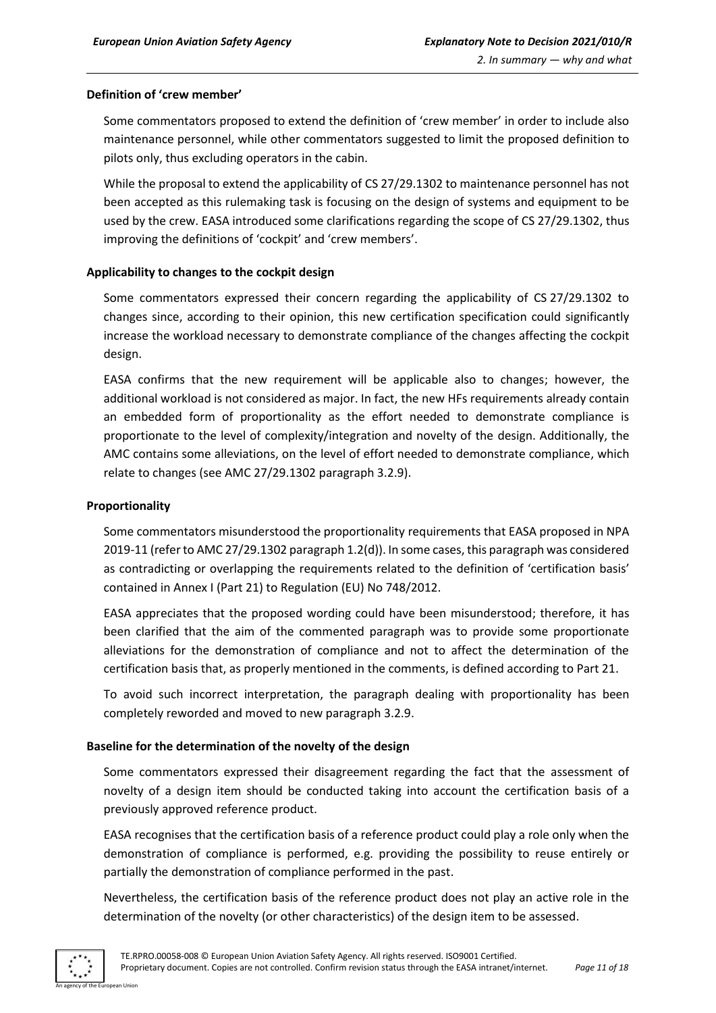# **Definition of 'crew member'**

Some commentators proposed to extend the definition of 'crew member' in order to include also maintenance personnel, while other commentators suggested to limit the proposed definition to pilots only, thus excluding operators in the cabin.

While the proposal to extend the applicability of CS 27/29.1302 to maintenance personnel has not been accepted as this rulemaking task is focusing on the design of systems and equipment to be used by the crew. EASA introduced some clarifications regarding the scope of CS 27/29.1302, thus improving the definitions of 'cockpit' and 'crew members'.

#### **Applicability to changes to the cockpit design**

Some commentators expressed their concern regarding the applicability of CS 27/29.1302 to changes since, according to their opinion, this new certification specification could significantly increase the workload necessary to demonstrate compliance of the changes affecting the cockpit design.

EASA confirms that the new requirement will be applicable also to changes; however, the additional workload is not considered as major. In fact, the new HFs requirements already contain an embedded form of proportionality as the effort needed to demonstrate compliance is proportionate to the level of complexity/integration and novelty of the design. Additionally, the AMC contains some alleviations, on the level of effort needed to demonstrate compliance, which relate to changes (see AMC 27/29.1302 paragraph 3.2.9).

#### **Proportionality**

Some commentators misunderstood the proportionality requirements that EASA proposed in NPA 2019-11 (referto AMC 27/29.1302 paragraph 1.2(d)). In some cases, this paragraph was considered as contradicting or overlapping the requirements related to the definition of 'certification basis' contained in Annex I (Part 21) to Regulation (EU) No 748/2012.

EASA appreciates that the proposed wording could have been misunderstood; therefore, it has been clarified that the aim of the commented paragraph was to provide some proportionate alleviations for the demonstration of compliance and not to affect the determination of the certification basis that, as properly mentioned in the comments, is defined according to Part 21.

To avoid such incorrect interpretation, the paragraph dealing with proportionality has been completely reworded and moved to new paragraph 3.2.9.

# **Baseline for the determination of the novelty of the design**

Some commentators expressed their disagreement regarding the fact that the assessment of novelty of a design item should be conducted taking into account the certification basis of a previously approved reference product.

EASA recognises that the certification basis of a reference product could play a role only when the demonstration of compliance is performed, e.g. providing the possibility to reuse entirely or partially the demonstration of compliance performed in the past.

Nevertheless, the certification basis of the reference product does not play an active role in the determination of the novelty (or other characteristics) of the design item to be assessed.

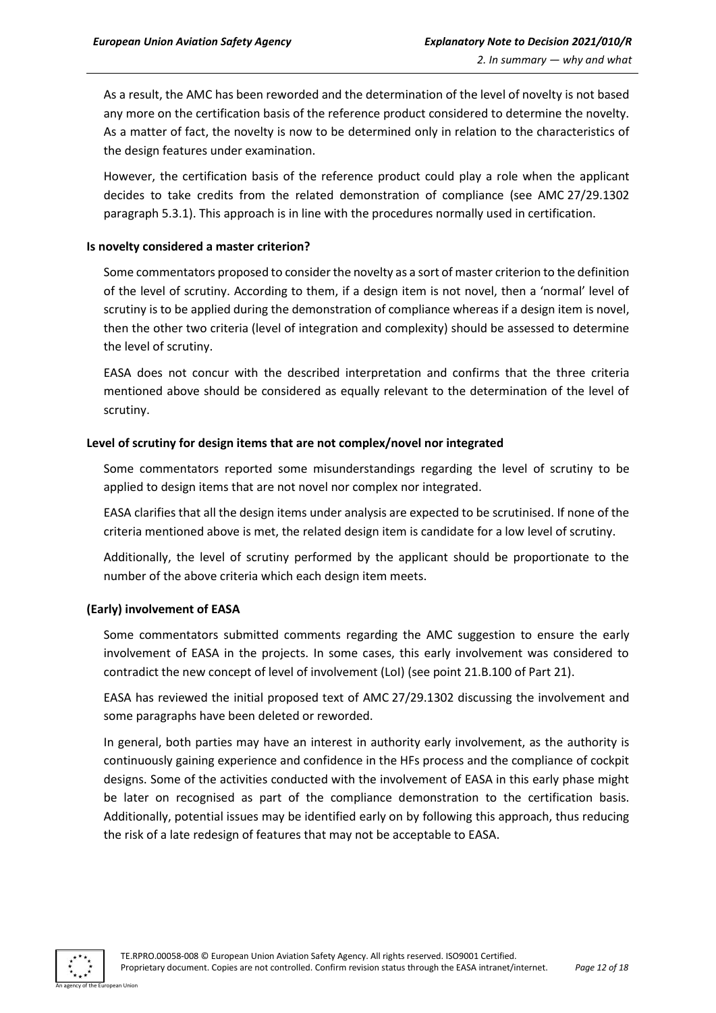As a result, the AMC has been reworded and the determination of the level of novelty is not based any more on the certification basis of the reference product considered to determine the novelty. As a matter of fact, the novelty is now to be determined only in relation to the characteristics of the design features under examination.

However, the certification basis of the reference product could play a role when the applicant decides to take credits from the related demonstration of compliance (see AMC 27/29.1302 paragraph 5.3.1). This approach is in line with the procedures normally used in certification.

#### **Is novelty considered a master criterion?**

Some commentators proposed to consider the novelty as a sort of master criterion to the definition of the level of scrutiny. According to them, if a design item is not novel, then a 'normal' level of scrutiny is to be applied during the demonstration of compliance whereas if a design item is novel, then the other two criteria (level of integration and complexity) should be assessed to determine the level of scrutiny.

EASA does not concur with the described interpretation and confirms that the three criteria mentioned above should be considered as equally relevant to the determination of the level of scrutiny.

#### **Level of scrutiny for design items that are not complex/novel nor integrated**

Some commentators reported some misunderstandings regarding the level of scrutiny to be applied to design items that are not novel nor complex nor integrated.

EASA clarifies that all the design items under analysis are expected to be scrutinised. If none of the criteria mentioned above is met, the related design item is candidate for a low level of scrutiny.

Additionally, the level of scrutiny performed by the applicant should be proportionate to the number of the above criteria which each design item meets.

#### **(Early) involvement of EASA**

Some commentators submitted comments regarding the AMC suggestion to ensure the early involvement of EASA in the projects. In some cases, this early involvement was considered to contradict the new concept of level of involvement (LoI) (see point 21.B.100 of Part 21).

EASA has reviewed the initial proposed text of AMC 27/29.1302 discussing the involvement and some paragraphs have been deleted or reworded.

In general, both parties may have an interest in authority early involvement, as the authority is continuously gaining experience and confidence in the HFs process and the compliance of cockpit designs. Some of the activities conducted with the involvement of EASA in this early phase might be later on recognised as part of the compliance demonstration to the certification basis. Additionally, potential issues may be identified early on by following this approach, thus reducing the risk of a late redesign of features that may not be acceptable to EASA.

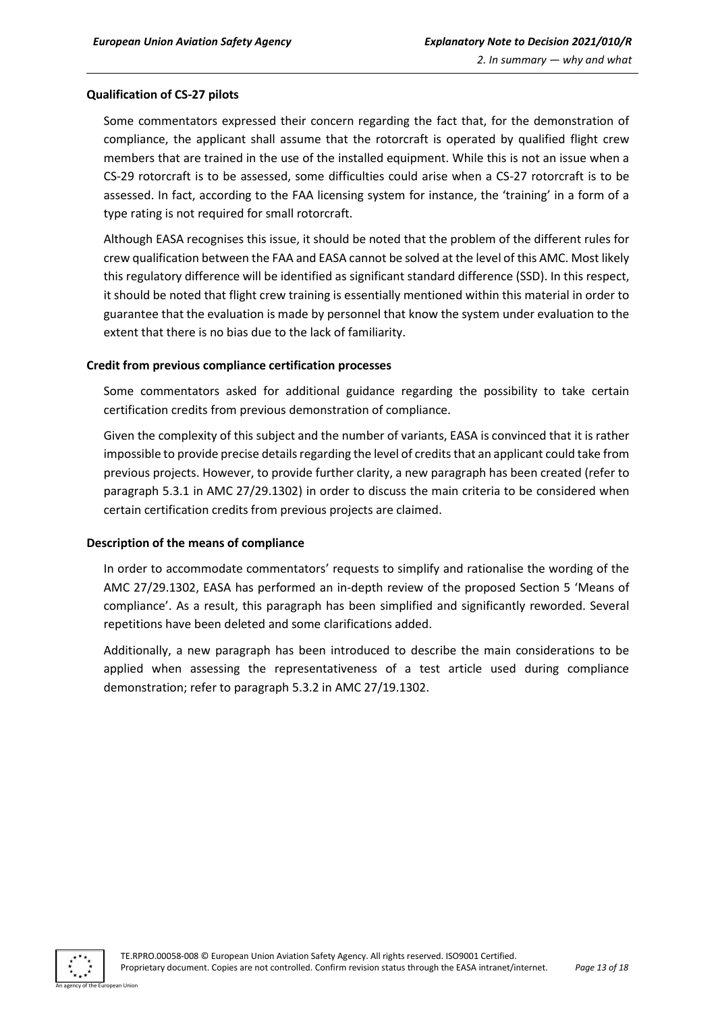# **Qualification of CS-27 pilots**

Some commentators expressed their concern regarding the fact that, for the demonstration of compliance, the applicant shall assume that the rotorcraft is operated by qualified flight crew members that are trained in the use of the installed equipment. While this is not an issue when a CS-29 rotorcraft is to be assessed, some difficulties could arise when a CS-27 rotorcraft is to be assessed. In fact, according to the FAA licensing system for instance, the 'training' in a form of a type rating is not required for small rotorcraft.

Although EASA recognises this issue, it should be noted that the problem of the different rules for crew qualification between the FAA and EASA cannot be solved at the level of this AMC. Most likely this regulatory difference will be identified as significant standard difference (SSD). In this respect, it should be noted that flight crew training is essentially mentioned within this material in order to guarantee that the evaluation is made by personnel that know the system under evaluation to the extent that there is no bias due to the lack of familiarity.

#### **Credit from previous compliance certification processes**

Some commentators asked for additional guidance regarding the possibility to take certain certification credits from previous demonstration of compliance.

Given the complexity of this subject and the number of variants, EASA is convinced that it is rather impossible to provide precise details regarding the level of credits that an applicant could take from previous projects. However, to provide further clarity, a new paragraph has been created (refer to paragraph 5.3.1 in AMC 27/29.1302) in order to discuss the main criteria to be considered when certain certification credits from previous projects are claimed.

#### **Description of the means of compliance**

In order to accommodate commentators' requests to simplify and rationalise the wording of the AMC 27/29.1302, EASA has performed an in-depth review of the proposed Section 5 'Means of compliance'. As a result, this paragraph has been simplified and significantly reworded. Several repetitions have been deleted and some clarifications added.

Additionally, a new paragraph has been introduced to describe the main considerations to be applied when assessing the representativeness of a test article used during compliance demonstration; refer to paragraph 5.3.2 in AMC 27/19.1302.

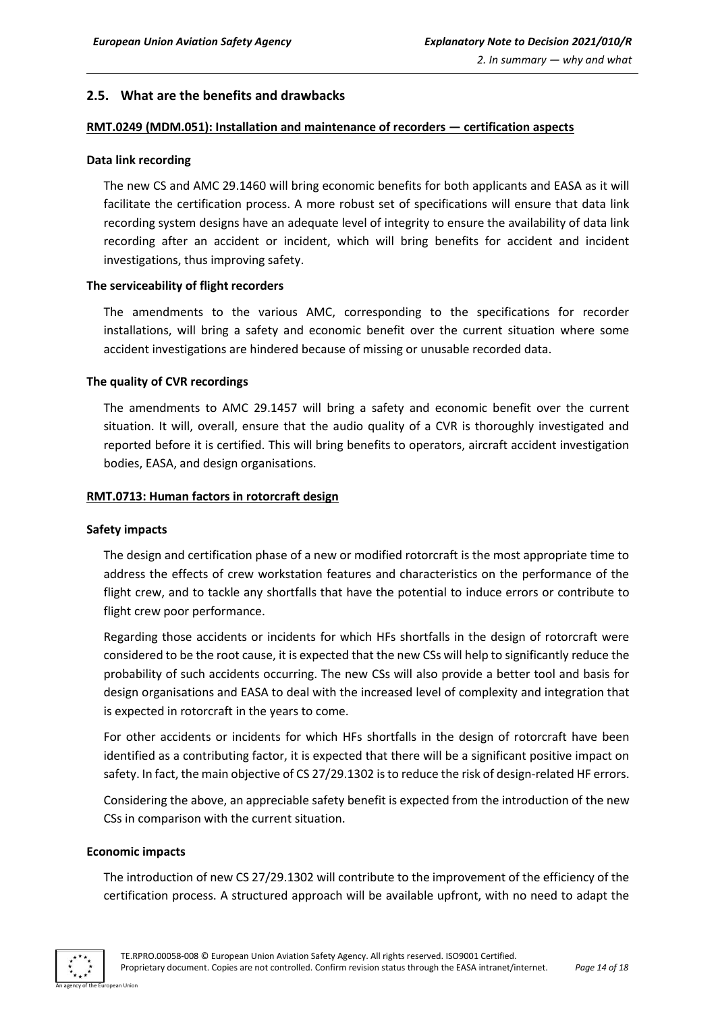# <span id="page-13-0"></span>**2.5. What are the benefits and drawbacks**

#### **RMT.0249 (MDM.051): Installation and maintenance of recorders — certification aspects**

#### **Data link recording**

The new CS and AMC 29.1460 will bring economic benefits for both applicants and EASA as it will facilitate the certification process. A more robust set of specifications will ensure that data link recording system designs have an adequate level of integrity to ensure the availability of data link recording after an accident or incident, which will bring benefits for accident and incident investigations, thus improving safety.

#### **The serviceability of flight recorders**

The amendments to the various AMC, corresponding to the specifications for recorder installations, will bring a safety and economic benefit over the current situation where some accident investigations are hindered because of missing or unusable recorded data.

#### **The quality of CVR recordings**

The amendments to AMC 29.1457 will bring a safety and economic benefit over the current situation. It will, overall, ensure that the audio quality of a CVR is thoroughly investigated and reported before it is certified. This will bring benefits to operators, aircraft accident investigation bodies, EASA, and design organisations.

#### **RMT.0713: Human factors in rotorcraft design**

#### **Safety impacts**

The design and certification phase of a new or modified rotorcraft is the most appropriate time to address the effects of crew workstation features and characteristics on the performance of the flight crew, and to tackle any shortfalls that have the potential to induce errors or contribute to flight crew poor performance.

Regarding those accidents or incidents for which HFs shortfalls in the design of rotorcraft were considered to be the root cause, it is expected that the new CSs will help to significantly reduce the probability of such accidents occurring. The new CSs will also provide a better tool and basis for design organisations and EASA to deal with the increased level of complexity and integration that is expected in rotorcraft in the years to come.

For other accidents or incidents for which HFs shortfalls in the design of rotorcraft have been identified as a contributing factor, it is expected that there will be a significant positive impact on safety. In fact, the main objective of CS 27/29.1302 is to reduce the risk of design-related HF errors.

Considering the above, an appreciable safety benefit is expected from the introduction of the new CSs in comparison with the current situation.

#### **Economic impacts**

The introduction of new CS 27/29.1302 will contribute to the improvement of the efficiency of the certification process. A structured approach will be available upfront, with no need to adapt the

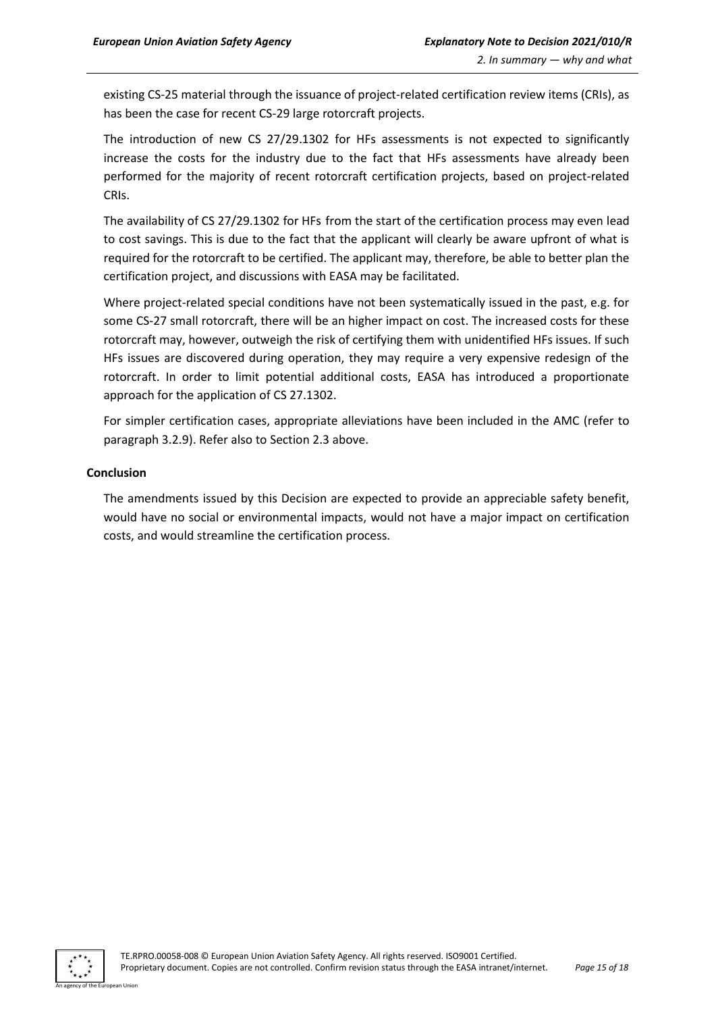existing CS-25 material through the issuance of project-related certification review items (CRIs), as has been the case for recent CS-29 large rotorcraft projects.

The introduction of new CS 27/29.1302 for HFs assessments is not expected to significantly increase the costs for the industry due to the fact that HFs assessments have already been performed for the majority of recent rotorcraft certification projects, based on project-related CRIs.

The availability of CS 27/29.1302 for HFs from the start of the certification process may even lead to cost savings. This is due to the fact that the applicant will clearly be aware upfront of what is required for the rotorcraft to be certified. The applicant may, therefore, be able to better plan the certification project, and discussions with EASA may be facilitated.

Where project-related special conditions have not been systematically issued in the past, e.g. for some CS-27 small rotorcraft, there will be an higher impact on cost. The increased costs for these rotorcraft may, however, outweigh the risk of certifying them with unidentified HFs issues. If such HFs issues are discovered during operation, they may require a very expensive redesign of the rotorcraft. In order to limit potential additional costs, EASA has introduced a proportionate approach for the application of CS 27.1302.

For simpler certification cases, appropriate alleviations have been included in the AMC (refer to paragraph 3.2.9). Refer also to Section 2.3 above.

# **Conclusion**

The amendments issued by this Decision are expected to provide an appreciable safety benefit, would have no social or environmental impacts, would not have a major impact on certification costs, and would streamline the certification process.

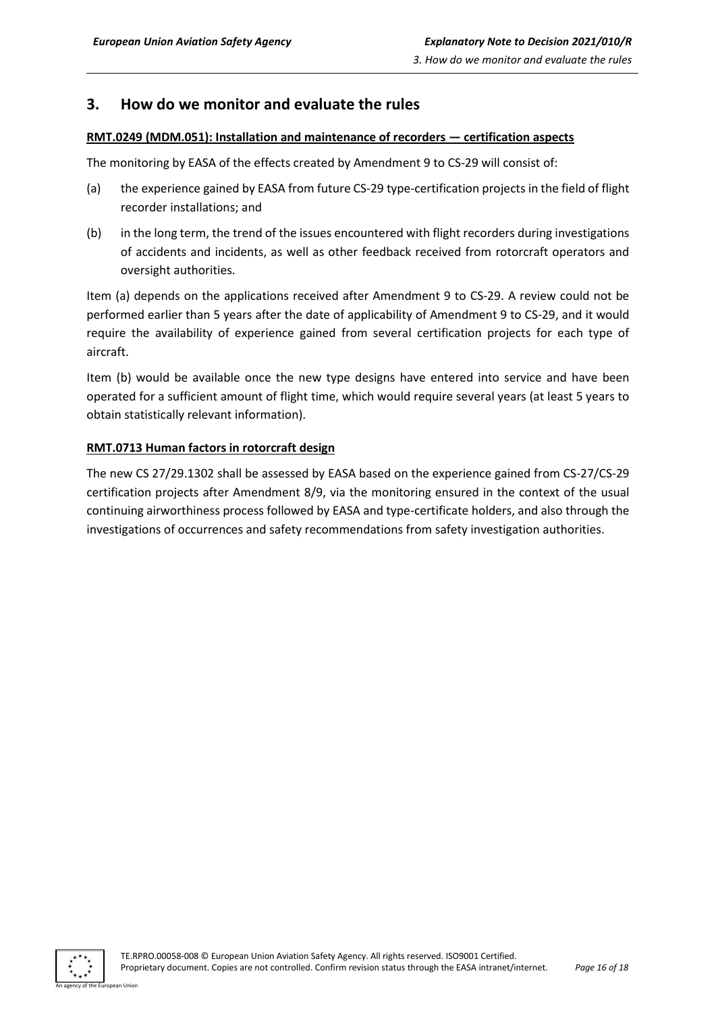# <span id="page-15-0"></span>**3. How do we monitor and evaluate the rules**

#### **RMT.0249 (MDM.051): Installation and maintenance of recorders — certification aspects**

The monitoring by EASA of the effects created by Amendment 9 to CS-29 will consist of:

- (a) the experience gained by EASA from future CS-29 type-certification projects in the field of flight recorder installations; and
- (b) in the long term, the trend of the issues encountered with flight recorders during investigations of accidents and incidents, as well as other feedback received from rotorcraft operators and oversight authorities.

Item (a) depends on the applications received after Amendment 9 to CS-29. A review could not be performed earlier than 5 years after the date of applicability of Amendment 9 to CS-29, and it would require the availability of experience gained from several certification projects for each type of aircraft.

Item (b) would be available once the new type designs have entered into service and have been operated for a sufficient amount of flight time, which would require several years (at least 5 years to obtain statistically relevant information).

# **RMT.0713 Human factors in rotorcraft design**

The new CS 27/29.1302 shall be assessed by EASA based on the experience gained from CS-27/CS-29 certification projects after Amendment 8/9, via the monitoring ensured in the context of the usual continuing airworthiness process followed by EASA and type-certificate holders, and also through the investigations of occurrences and safety recommendations from safety investigation authorities.

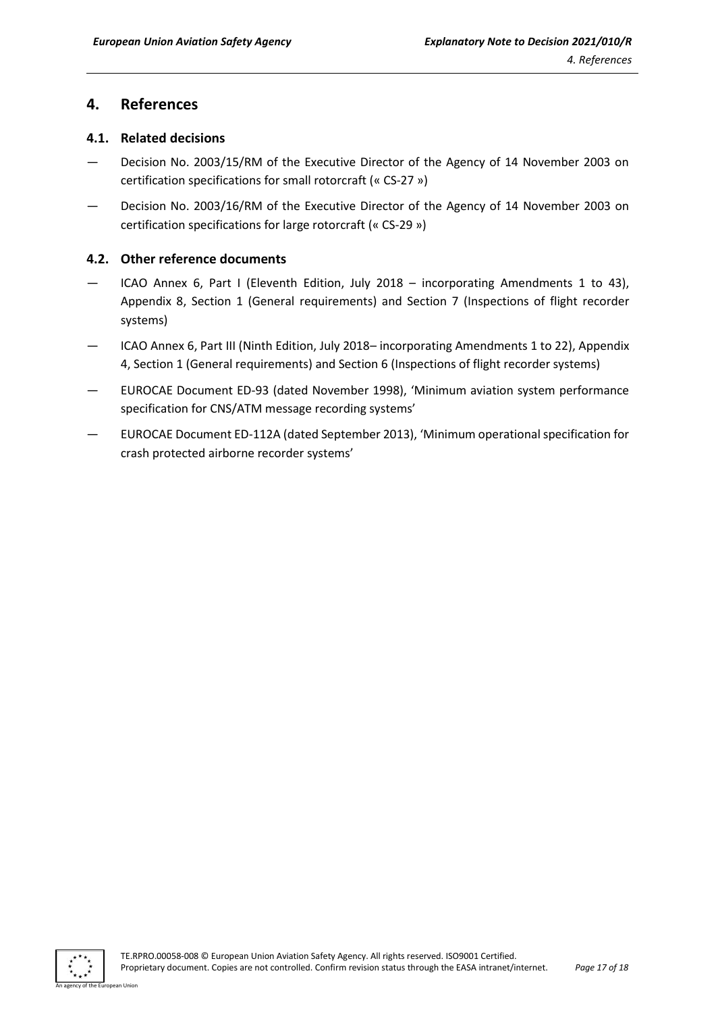# <span id="page-16-0"></span>**4. References**

# <span id="page-16-1"></span>**4.1. Related decisions**

- Decision No. 2003/15/RM of the Executive Director of the Agency of 14 November 2003 on certification specifications for small rotorcraft (« CS-27 »)
- Decision No. 2003/16/RM of the Executive Director of the Agency of 14 November 2003 on certification specifications for large rotorcraft (« CS-29 »)

# <span id="page-16-2"></span>**4.2. Other reference documents**

- ICAO Annex 6, Part I (Eleventh Edition, July 2018 incorporating Amendments 1 to 43), Appendix 8, Section 1 (General requirements) and Section 7 (Inspections of flight recorder systems)
- ICAO Annex 6, Part III (Ninth Edition, July 2018– incorporating Amendments 1 to 22), Appendix 4, Section 1 (General requirements) and Section 6 (Inspections of flight recorder systems)
- EUROCAE Document ED-93 (dated November 1998), 'Minimum aviation system performance specification for CNS/ATM message recording systems'
- EUROCAE Document ED-112A (dated September 2013), 'Minimum operational specification for crash protected airborne recorder systems'